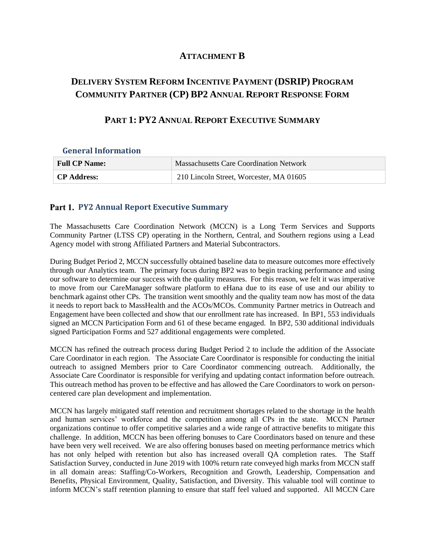## **ATTACHMENT B**

## **DELIVERY SYSTEM REFORM INCENTIVE PAYMENT (DSRIP) PROGRAM COMMUNITY PARTNER (CP) BP2 ANNUAL REPORT RESPONSE FORM**

## **PART 1: PY2 ANNUAL REPORT EXECUTIVE SUMMARY**

**General Information**

| <b>Full CP Name:</b> | <b>Massachusetts Care Coordination Network</b> |
|----------------------|------------------------------------------------|
| <b>CP Address:</b>   | 210 Lincoln Street, Worcester, MA 01605        |

## **Part 1. PY2 Annual Report Executive Summary**

The Massachusetts Care Coordination Network (MCCN) is a Long Term Services and Supports Community Partner (LTSS CP) operating in the Northern, Central, and Southern regions using a Lead Agency model with strong Affiliated Partners and Material Subcontractors.

During Budget Period 2, MCCN successfully obtained baseline data to measure outcomes more effectively through our Analytics team. The primary focus during BP2 was to begin tracking performance and using our software to determine our success with the quality measures. For this reason, we felt it was imperative to move from our CareManager software platform to eHana due to its ease of use and our ability to benchmark against other CPs. The transition went smoothly and the quality team now has most of the data it needs to report back to MassHealth and the ACOs/MCOs. Community Partner metrics in Outreach and Engagement have been collected and show that our enrollment rate has increased. In BP1, 553 individuals signed an MCCN Participation Form and 61 of these became engaged. In BP2, 530 additional individuals signed Participation Forms and 527 additional engagements were completed.

MCCN has refined the outreach process during Budget Period 2 to include the addition of the Associate Care Coordinator in each region. The Associate Care Coordinator is responsible for conducting the initial outreach to assigned Members prior to Care Coordinator commencing outreach. Additionally, the Associate Care Coordinator is responsible for verifying and updating contact information before outreach. This outreach method has proven to be effective and has allowed the Care Coordinators to work on personcentered care plan development and implementation.

MCCN has largely mitigated staff retention and recruitment shortages related to the shortage in the health and human services' workforce and the competition among all CPs in the state. MCCN Partner organizations continue to offer competitive salaries and a wide range of attractive benefits to mitigate this challenge. In addition, MCCN has been offering bonuses to Care Coordinators based on tenure and these have been very well received. We are also offering bonuses based on meeting performance metrics which has not only helped with retention but also has increased overall QA completion rates. The Staff Satisfaction Survey, conducted in June 2019 with 100% return rate conveyed high marks from MCCN staff in all domain areas: Staffing/Co-Workers, Recognition and Growth, Leadership, Compensation and Benefits, Physical Environment, Quality, Satisfaction, and Diversity. This valuable tool will continue to inform MCCN's staff retention planning to ensure that staff feel valued and supported. All MCCN Care